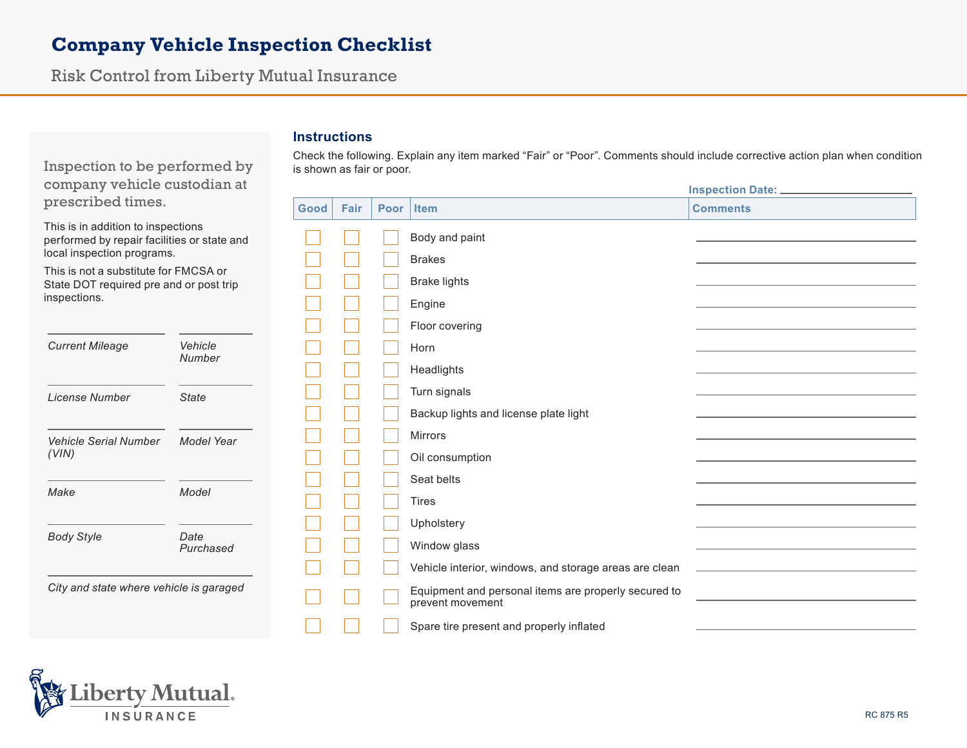## **Company Vehicle Inspection Checklist**

Risk Control from Liberty Mutual Insurance

## **Instructions**

Inspection to be performed by company vehicle custodian at prescribed times.

This is in addition to inspections performed by repair facilities or state and local inspection programs.

This is not a substitute for FMCSA or State DOT required pre and or post trip inspections.

| <b>Current Mileage</b>         | Vehicle<br>Number |
|--------------------------------|-------------------|
| License Number                 | State             |
| Vehicle Serial Number<br>(VIN) | Model Year        |
| Make                           | Model             |
| Body Style                     | Date<br>Purchased |

| Check the following. Explain any item marked "Fair" or "Poor". Comments should include corrective action plan when condition |  |
|------------------------------------------------------------------------------------------------------------------------------|--|
| is shown as fair or poor.                                                                                                    |  |

**Inspection Date:** 

| Good | Fair | Poor | <b>Item</b>                                                              | <b>Comments</b> |
|------|------|------|--------------------------------------------------------------------------|-----------------|
|      |      |      | Body and paint                                                           |                 |
|      |      |      | <b>Brakes</b>                                                            |                 |
|      |      |      | <b>Brake lights</b>                                                      |                 |
|      |      |      | Engine                                                                   |                 |
|      |      |      | Floor covering                                                           |                 |
|      |      |      | Horn                                                                     |                 |
|      |      |      | Headlights                                                               |                 |
|      |      |      | Turn signals                                                             |                 |
|      |      |      | Backup lights and license plate light                                    |                 |
|      |      |      | Mirrors                                                                  |                 |
|      |      |      | Oil consumption                                                          |                 |
|      |      |      | Seat belts                                                               |                 |
|      |      |      | Tires                                                                    |                 |
|      |      |      | Upholstery                                                               |                 |
|      |      |      | Window glass                                                             |                 |
|      |      |      | Vehicle interior, windows, and storage areas are clean                   |                 |
|      |      |      | Equipment and personal items are properly secured to<br>prevent movement |                 |
|      |      |      | Spare tire present and properly inflated                                 |                 |